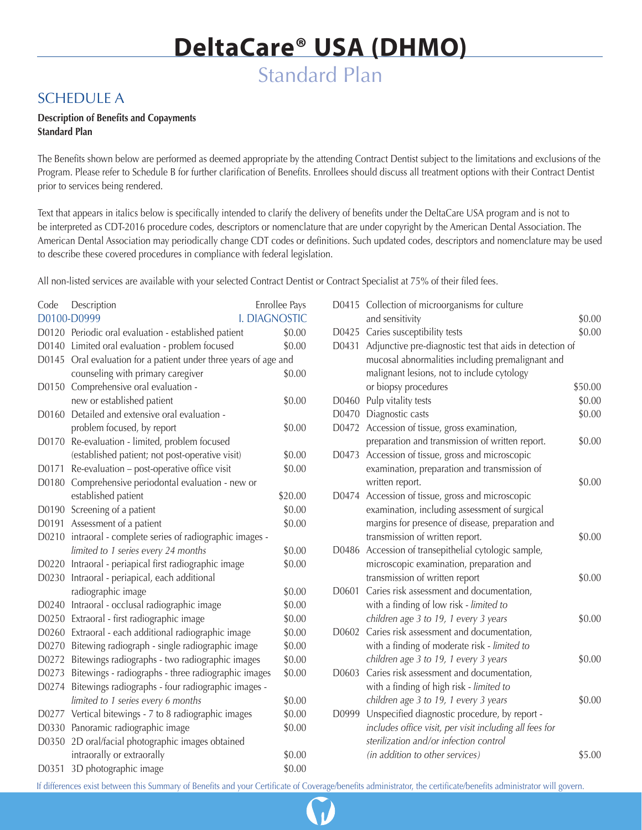## SCHEDULE A

### **Description of Benefits and Copayments Standard Plan**

The Benefits shown below are performed as deemed appropriate by the attending Contract Dentist subject to the limitations and exclusions of the Program. Please refer to Schedule B for further clarification of Benefits. Enrollees should discuss all treatment options with their Contract Dentist prior to services being rendered.

Text that appears in italics below is specifically intended to clarify the delivery of benefits under the DeltaCare USA program and is not to be interpreted as CDT-2016 procedure codes, descriptors or nomenclature that are under copyright by the American Dental Association. The American Dental Association may periodically change CDT codes or definitions. Such updated codes, descriptors and nomenclature may be used to describe these covered procedures in compliance with federal legislation.

All non-listed services are available with your selected Contract Dentist or Contract Specialist at 75% of their filed fees.

| Code  | Description                                                      | Enrollee Pays |
|-------|------------------------------------------------------------------|---------------|
|       | D0100-D0999<br>I. DIAGNOSTIC                                     |               |
|       | D0120 Periodic oral evaluation - established patient             | \$0.00        |
|       | D0140 Limited oral evaluation - problem focused                  | \$0.00        |
|       | D0145 Oral evaluation for a patient under three years of age and |               |
|       | counseling with primary caregiver                                | \$0.00        |
| D0150 | Comprehensive oral evaluation -                                  |               |
|       | new or established patient                                       | \$0.00        |
| D0160 | Detailed and extensive oral evaluation -                         |               |
|       | problem focused, by report                                       | \$0.00        |
| D0170 | Re-evaluation - limited, problem focused                         |               |
|       | (established patient; not post-operative visit)                  | \$0.00        |
| D0171 | Re-evaluation - post-operative office visit                      | \$0.00        |
| D0180 | Comprehensive periodontal evaluation - new or                    |               |
|       | established patient                                              | \$20.00       |
| D0190 | Screening of a patient                                           | \$0.00        |
| D0191 | Assessment of a patient                                          | \$0.00        |
| D0210 | intraoral - complete series of radiographic images -             |               |
|       | limited to 1 series every 24 months                              | \$0.00        |
|       | D0220 Intraoral - periapical first radiographic image            | \$0.00        |
| D0230 | Intraoral - periapical, each additional                          |               |
|       | radiographic image                                               | \$0.00        |
| D0240 | Intraoral - occlusal radiographic image                          | \$0.00        |
| D0250 | Extraoral - first radiographic image                             | \$0.00        |
| D0260 | Extraoral - each additional radiographic image                   | \$0.00        |
| D0270 | Bitewing radiograph - single radiographic image                  | \$0.00        |
| D0272 | Bitewings radiographs - two radiographic images                  | \$0.00        |
| D0273 | Bitewings - radiographs - three radiographic images              | \$0.00        |
| D0274 | Bitewings radiographs - four radiographic images -               |               |
|       | limited to 1 series every 6 months                               | \$0.00        |
| D0277 | Vertical bitewings - 7 to 8 radiographic images                  | \$0.00        |
| D0330 | Panoramic radiographic image                                     | \$0.00        |
| D0350 | 2D oral/facial photographic images obtained                      |               |
|       | intraorally or extraorally                                       | \$0.00        |
| D0351 | 3D photographic image                                            | \$0.00        |

|       | D0415 Collection of microorganisms for culture           |         |
|-------|----------------------------------------------------------|---------|
|       | and sensitivity                                          | \$0.00  |
| D0425 | Caries susceptibility tests                              | \$0.00  |
| D0431 | Adjunctive pre-diagnostic test that aids in detection of |         |
|       | mucosal abnormalities including premalignant and         |         |
|       | malignant lesions, not to include cytology               |         |
|       | or biopsy procedures                                     | \$50.00 |
|       | D0460 Pulp vitality tests                                | \$0.00  |
|       | D0470 Diagnostic casts                                   | \$0.00  |
| D0472 | Accession of tissue, gross examination,                  |         |
|       | preparation and transmission of written report.          | \$0.00  |
| D0473 | Accession of tissue, gross and microscopic               |         |
|       | examination, preparation and transmission of             |         |
|       | written report.                                          | \$0.00  |
| D0474 | Accession of tissue, gross and microscopic               |         |
|       | examination, including assessment of surgical            |         |
|       | margins for presence of disease, preparation and         |         |
|       | transmission of written report.                          | \$0.00  |
| D0486 | Accession of transepithelial cytologic sample,           |         |
|       | microscopic examination, preparation and                 |         |
|       | transmission of written report                           | \$0.00  |
| D0601 | Caries risk assessment and documentation,                |         |
|       | with a finding of low risk - limited to                  |         |
|       | children age 3 to 19, 1 every 3 years                    | \$0.00  |
| D0602 | Caries risk assessment and documentation,                |         |
|       | with a finding of moderate risk - limited to             |         |
|       | children age 3 to 19, 1 every 3 years                    | \$0.00  |
| D0603 | Caries risk assessment and documentation,                |         |
|       | with a finding of high risk - limited to                 |         |
|       | children age 3 to 19, 1 every 3 years                    | \$0.00  |
| D0999 | Unspecified diagnostic procedure, by report -            |         |
|       | includes office visit, per visit including all fees for  |         |
|       | sterilization and/or infection control                   |         |
|       | (in addition to other services)                          | \$5.00  |

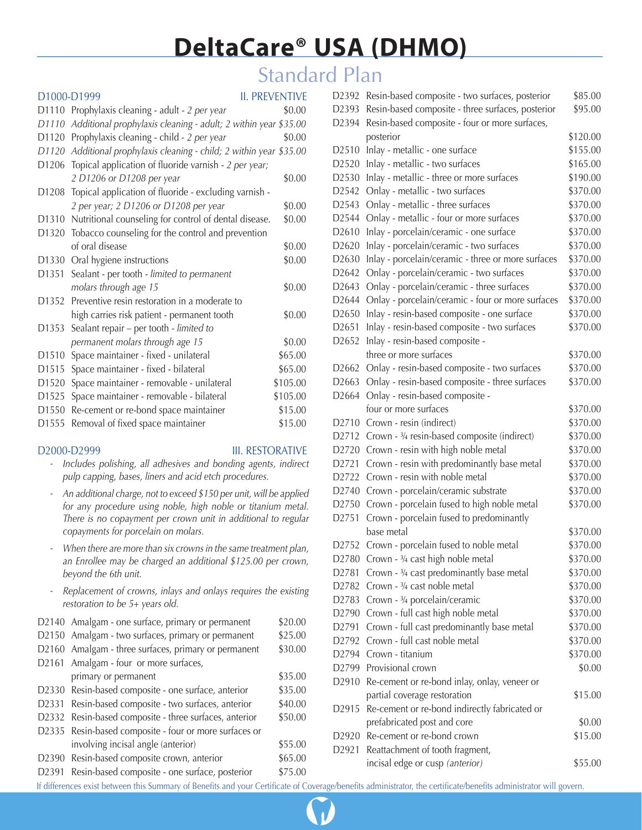## Standard Plan

|                   | D1000-D1999                                                    | <b>II. PREVENTIVE</b> |
|-------------------|----------------------------------------------------------------|-----------------------|
| D1110             | Prophylaxis cleaning - adult - 2 per year                      | \$0.00                |
| D1110             | Additional prophylaxis cleaning - adult; 2 within year \$35.00 |                       |
| D <sub>1120</sub> | Prophylaxis cleaning - child - 2 per year                      | \$0.00                |
| D1120             | Additional prophylaxis cleaning - child; 2 within year \$35.00 |                       |
| D1206             | Topical application of fluoride varnish - 2 per year;          |                       |
|                   | 2 D1206 or D1208 per year                                      | \$0.00                |
| D1208             | Topical application of fluoride - excluding varnish -          |                       |
|                   | 2 per year; 2 D1206 or D1208 per year                          | \$0.00                |
| D <sub>1310</sub> | Nutritional counseling for control of dental disease.          | \$0.00                |
| D1320             | Tobacco counseling for the control and prevention              |                       |
|                   | of oral disease                                                | \$0.00                |
| D1330             | Oral hygiene instructions                                      | \$0.00                |
| D <sub>1351</sub> | Sealant - per tooth - limited to permanent                     |                       |
|                   | molars through age 15                                          | \$0.00                |
| D1352             | Preventive resin restoration in a moderate to                  |                       |
|                   | high carries risk patient - permanent tooth                    | \$0.00                |
| D1353             | Sealant repair - per tooth - limited to                        |                       |
|                   | permanent molars through age 15                                | \$0.00                |
| D1510             | Space maintainer - fixed - unilateral                          | \$65.00               |
| D1515             | Space maintainer - fixed - bilateral                           | \$65.00               |
| D <sub>1520</sub> | Space maintainer - removable - unilateral                      | \$105.00              |
| D1525             | Space maintainer - removable - bilateral                       | \$105.00              |
| D <sub>1550</sub> | Re-cement or re-bond space maintainer                          | \$15.00               |
| D1555             | Removal of fixed space maintainer                              | \$15.00               |

### D2000-D2999 III. RESTORATIVE

- *Includes polishing, all adhesives and bonding agents, indirect pulp capping, bases, liners and acid etch procedures.*
- *An additional charge, not to exceed \$150 per unit, will be applied for any procedure using noble, high noble or titanium metal. There is no copayment per crown unit in additional to regular copayments for porcelain on molars.*
- *- When there are more than six crowns in the same treatment plan, an Enrollee may be charged an additional \$125.00 per crown, beyond the 6th unit.*
- *Replacement of crowns, inlays and onlays requires the existing restoration to be 5+ years old.*

| D2140 Amalgam - one surface, primary or permanent       |         |
|---------------------------------------------------------|---------|
| D2150 Amalgam - two surfaces, primary or permanent      | \$25.00 |
| D2160 Amalgam - three surfaces, primary or permanent    | \$30.00 |
| D2161 Amalgam - four or more surfaces,                  |         |
| primary or permanent                                    | \$35.00 |
| D2330 Resin-based composite - one surface, anterior     | \$35.00 |
| D2331<br>Resin-based composite - two surfaces, anterior | \$40.00 |
| D2332 Resin-based composite - three surfaces, anterior  | \$50.00 |
| D2335 Resin-based composite - four or more surfaces or  |         |
| involving incisal angle (anterior)                      | \$55.00 |
| D2390 Resin-based composite crown, anterior             | \$65.00 |
| Resin-based composite - one surface, posterior<br>D2391 | \$75.00 |

| D2392             | Resin-based composite - two surfaces, posterior    | \$85.00  |
|-------------------|----------------------------------------------------|----------|
| D2393             | Resin-based composite - three surfaces, posterior  | \$95.00  |
| D2394             | Resin-based composite - four or more surfaces,     |          |
|                   | posterior                                          | \$120.00 |
| D2510             | Inlay - metallic - one surface                     | \$155.00 |
| D2520             | Inlay - metallic - two surfaces                    | \$165.00 |
| D2530             | Inlay - metallic - three or more surfaces          | \$190.00 |
| D2542             | Onlay - metallic - two surfaces                    | \$370.00 |
| D <sub>2543</sub> | Onlay - metallic - three surfaces                  | \$370.00 |
| D2544             | Onlay - metallic - four or more surfaces           | \$370.00 |
| D2610             | Inlay - porcelain/ceramic - one surface            | \$370.00 |
| D2620             | Inlay - porcelain/ceramic - two surfaces           | \$370.00 |
| D2630             | Inlay - porcelain/ceramic - three or more surfaces | \$370.00 |
| D2642             | Onlay - porcelain/ceramic - two surfaces           | \$370.00 |
| D <sub>2643</sub> | Onlay - porcelain/ceramic - three surfaces         | \$370.00 |
| D <sub>2644</sub> | Onlay - porcelain/ceramic - four or more surfaces  | \$370.00 |
| D <sub>2650</sub> | Inlay - resin-based composite - one surface        | \$370.00 |
| D2651             | Inlay - resin-based composite - two surfaces       | \$370.00 |
| D2652             | Inlay - resin-based composite -                    |          |
|                   | three or more surfaces                             | \$370.00 |
| D <sub>2662</sub> | Onlay - resin-based composite - two surfaces       | \$370.00 |
| D2663             | Onlay - resin-based composite - three surfaces     | \$370.00 |
| D2664             | Onlay - resin-based composite -                    |          |
|                   | four or more surfaces                              | \$370.00 |
| D2710             | Crown - resin (indirect)                           | \$370.00 |
| D <sub>2712</sub> | Crown - 3/4 resin-based composite (indirect)       | \$370.00 |
| D2720             | Crown - resin with high noble metal                | \$370.00 |
| D2721             | Crown - resin with predominantly base metal        | \$370.00 |
| D2722             | Crown - resin with noble metal                     | \$370.00 |
| D <sub>2740</sub> | Crown - porcelain/ceramic substrate                | \$370.00 |
| D <sub>2750</sub> | Crown - porcelain fused to high noble metal        | \$370.00 |
| D2751             | Crown - porcelain fused to predominantly           |          |
|                   | base metal                                         | \$370.00 |
| D2752             | Crown - porcelain fused to noble metal             | \$370.00 |
| D2780             | Crown - 3/4 cast high noble metal                  | \$370.00 |
| D2781             | Crown - 3/4 cast predominantly base metal          | \$370.00 |
| D <sub>2782</sub> | Crown - 3/4 cast noble metal                       | \$370.00 |
| D2783             | Crown - 3/4 porcelain/ceramic                      | \$370.00 |
| D2790             | Crown - full cast high noble metal                 | \$370.00 |
| D2791             | Crown - full cast predominantly base metal         | \$370.00 |
| D2792             | Crown - full cast noble metal                      | \$370.00 |
| D2794             | Crown - titanium                                   | \$370.00 |
| D <sub>2799</sub> | Provisional crown                                  | \$0.00   |
| D2910             | Re-cement or re-bond inlay, onlay, veneer or       |          |
|                   | partial coverage restoration                       | \$15.00  |
| D2915             | Re-cement or re-bond indirectly fabricated or      |          |
|                   | prefabricated post and core                        | \$0.00   |
| D2920             | Re-cement or re-bond crown                         | \$15.00  |
| D2921             | Reattachment of tooth fragment,                    |          |
|                   | incisal edge or cusp (anterior)                    | \$55.00  |
|                   |                                                    |          |

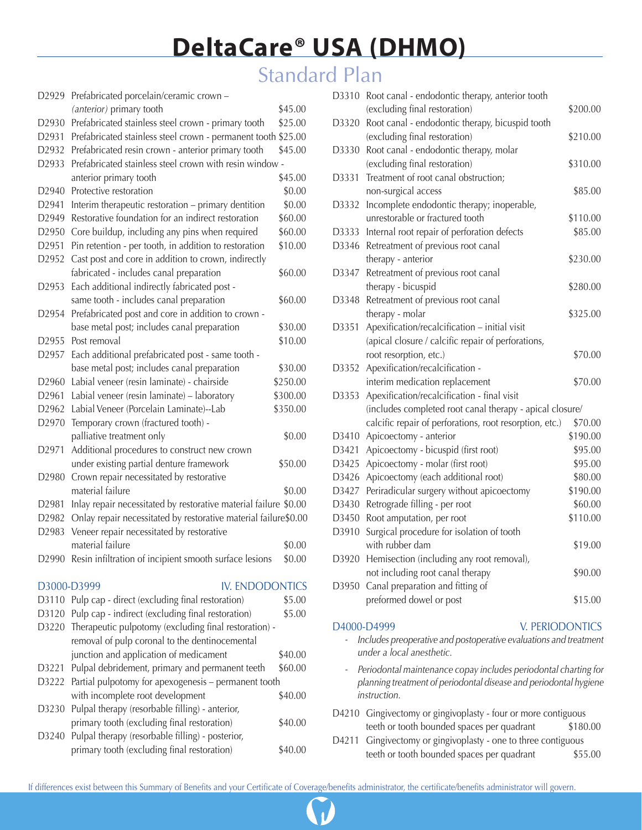# Standard Plan

| D2929             | Prefabricated porcelain/ceramic crown -                          |          |
|-------------------|------------------------------------------------------------------|----------|
|                   | (anterior) primary tooth                                         | \$45.00  |
| D2930             | Prefabricated stainless steel crown - primary tooth              | \$25.00  |
| D2931             | Prefabricated stainless steel crown - permanent tooth \$25.00    |          |
| D <sub>2932</sub> | Prefabricated resin crown - anterior primary tooth               | \$45.00  |
| D2933             | Prefabricated stainless steel crown with resin window -          |          |
|                   | anterior primary tooth                                           | \$45.00  |
| D2940             | Protective restoration                                           | \$0.00   |
| D2941             | Interim therapeutic restoration - primary dentition              | \$0.00   |
| D2949             | Restorative foundation for an indirect restoration               | \$60.00  |
| D2950             | Core buildup, including any pins when required                   | \$60.00  |
| D2951             | Pin retention - per tooth, in addition to restoration            | \$10.00  |
| D2952             | Cast post and core in addition to crown, indirectly              |          |
|                   | fabricated - includes canal preparation                          | \$60.00  |
| D2953             | Each additional indirectly fabricated post -                     |          |
|                   | same tooth - includes canal preparation                          | \$60.00  |
| D2954             | Prefabricated post and core in addition to crown -               |          |
|                   | base metal post; includes canal preparation                      | \$30.00  |
| D2955             | Post removal                                                     | \$10.00  |
| D2957             | Each additional prefabricated post - same tooth -                |          |
|                   | base metal post; includes canal preparation                      | \$30.00  |
| D <sub>2960</sub> | Labial veneer (resin laminate) - chairside                       | \$250.00 |
| D2961             | Labial veneer (resin laminate) - laboratory                      | \$300.00 |
| D2962             | Labial Veneer (Porcelain Laminate)--Lab                          | \$350.00 |
| D2970             | Temporary crown (fractured tooth) -                              |          |
|                   | palliative treatment only                                        | \$0.00   |
| D2971             | Additional procedures to construct new crown                     |          |
|                   | under existing partial denture framework                         | \$50.00  |
| D <sub>2980</sub> | Crown repair necessitated by restorative                         |          |
|                   | material failure                                                 | \$0.00   |
| D2981             | Inlay repair necessitated by restorative material failure \$0.00 |          |
| D2982             | Onlay repair necessitated by restorative material failure\$0.00  |          |
| D2983             | Veneer repair necessitated by restorative                        |          |
|                   | material failure                                                 | \$0.00   |
|                   | D2990 Resin infiltration of incipient smooth surface lesions     | \$0.00   |
|                   |                                                                  |          |
|                   | <b>IV. ENDODONTICS</b><br>D3000-D3999                            |          |
| D3110             | Pulp cap - direct (excluding final restoration)                  | \$5.00   |
| D3120             | Pulp cap - indirect (excluding final restoration)                | \$5.00   |
|                   | D3220 Therapeutic pulpotomy (excluding final restoration) -      |          |
|                   | removal of pulp coronal to the dentinocemental                   |          |
|                   | junction and application of medicament                           | \$40.00  |
| D3221             | Pulpal debridement, primary and permanent teeth                  | \$60.00  |
| D3222             | Partial pulpotomy for apexogenesis - permanent tooth             |          |
|                   | with incomplete root development                                 | \$40.00  |
| D3230             | Pulpal therapy (resorbable filling) - anterior,                  |          |
|                   | primary tooth (excluding final restoration)                      | \$40.00  |
| D3240             | Pulpal therapy (resorbable filling) - posterior,                 |          |
|                   | primary tooth (excluding final restoration)                      | \$40.00  |

| D3310 | Root canal - endodontic therapy, anterior tooth          |          |
|-------|----------------------------------------------------------|----------|
|       | (excluding final restoration)                            | \$200.00 |
| D3320 | Root canal - endodontic therapy, bicuspid tooth          |          |
|       | (excluding final restoration)                            | \$210.00 |
| D3330 | Root canal - endodontic therapy, molar                   |          |
|       | (excluding final restoration)                            | \$310.00 |
| D3331 | Treatment of root canal obstruction;                     |          |
|       | non-surgical access                                      | \$85.00  |
| D3332 | Incomplete endodontic therapy; inoperable,               |          |
|       | unrestorable or fractured tooth                          | \$110.00 |
| D3333 | Internal root repair of perforation defects              | \$85.00  |
| D3346 | Retreatment of previous root canal                       |          |
|       | therapy - anterior                                       | \$230.00 |
| D3347 | Retreatment of previous root canal                       |          |
|       | therapy - bicuspid                                       | \$280.00 |
| D3348 | Retreatment of previous root canal                       |          |
|       | therapy - molar                                          | \$325.00 |
| D3351 | Apexification/recalcification - initial visit            |          |
|       | (apical closure / calcific repair of perforations,       |          |
|       | root resorption, etc.)                                   | \$70.00  |
| D3352 | Apexification/recalcification -                          |          |
|       | interim medication replacement                           | \$70.00  |
| D3353 | Apexification/recalcification - final visit              |          |
|       | (includes completed root canal therapy - apical closure/ |          |
|       | calcific repair of perforations, root resorption, etc.)  | \$70.00  |
| D3410 | Apicoectomy - anterior                                   | \$190.00 |
| D3421 | Apicoectomy - bicuspid (first root)                      | \$95.00  |
| D3425 | Apicoectomy - molar (first root)                         | \$95.00  |
| D3426 | Apicoectomy (each additional root)                       | \$80.00  |
| D3427 | Periradicular surgery without apicoectomy                | \$190.00 |
| D3430 | Retrograde filling - per root                            | \$60.00  |
| D3450 | Root amputation, per root                                | \$110.00 |
| D3910 | Surgical procedure for isolation of tooth                |          |
|       | with rubber dam                                          | \$19.00  |
| D3920 | Hemisection (including any root removal),                |          |
|       | not including root canal therapy                         | \$90.00  |
| D3950 | Canal preparation and fitting of                         |          |
|       | preformed dowel or post                                  | \$15.00  |
|       |                                                          |          |
|       | D4000-D4999<br><b>V. PERIODONTICS</b>                    |          |

- *Includes preoperative and postoperative evaluations and treatment under a local anesthetic.*
- *Periodontal maintenance copay includes periodontal charting for planning treatment of periodontal disease and periodontal hygiene instruction.*
- D4210 Gingivectomy or gingivoplasty four or more contiguous teeth or tooth bounded spaces per quadrant \$180.00
- D4211 Gingivectomy or gingivoplasty one to three contiguous teeth or tooth bounded spaces per quadrant \$55.00

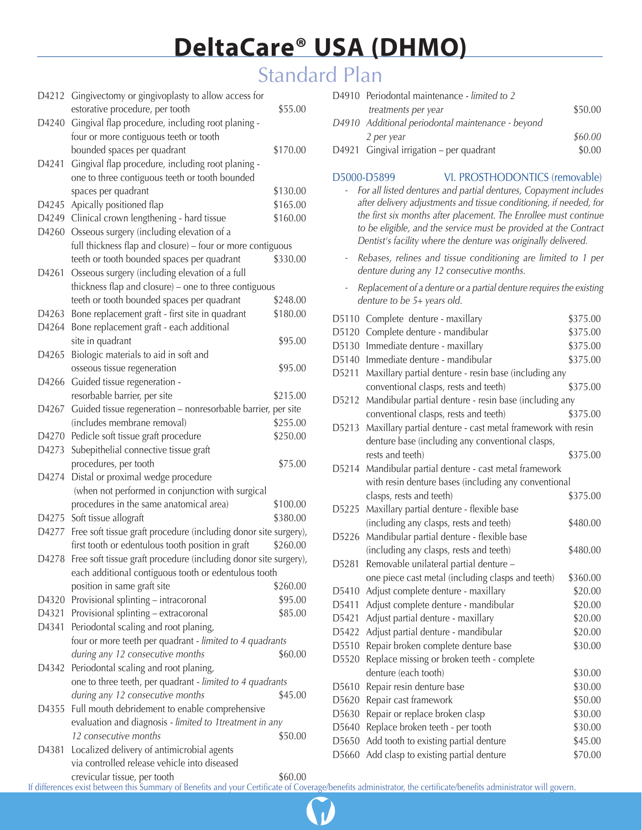## Standard Plan

|       | D4212 Gingivectomy or gingivoplasty to allow access for<br>estorative procedure, per tooth                | \$55.00  |
|-------|-----------------------------------------------------------------------------------------------------------|----------|
| D4240 | Gingival flap procedure, including root planing -                                                         |          |
|       | four or more contiguous teeth or tooth                                                                    |          |
|       | bounded spaces per quadrant                                                                               | \$170.00 |
| D4241 | Gingival flap procedure, including root planing -                                                         |          |
|       | one to three contiguous teeth or tooth bounded                                                            |          |
|       | spaces per quadrant                                                                                       | \$130.00 |
| D4245 | Apically positioned flap                                                                                  | \$165.00 |
| D4249 | Clinical crown lengthening - hard tissue                                                                  | \$160.00 |
| D4260 | Osseous surgery (including elevation of a                                                                 |          |
|       | full thickness flap and closure) - four or more contiguous                                                |          |
|       | teeth or tooth bounded spaces per quadrant                                                                | \$330.00 |
| D4261 | Osseous surgery (including elevation of a full                                                            |          |
|       | thickness flap and closure) - one to three contiguous                                                     |          |
|       | teeth or tooth bounded spaces per quadrant                                                                | \$248.00 |
| D4263 | Bone replacement graft - first site in quadrant                                                           | \$180.00 |
| D4264 | Bone replacement graft - each additional                                                                  |          |
|       | site in quadrant                                                                                          | \$95.00  |
| D4265 | Biologic materials to aid in soft and                                                                     |          |
|       | osseous tissue regeneration                                                                               | \$95.00  |
| D4266 | Guided tissue regeneration -                                                                              |          |
|       | resorbable barrier, per site                                                                              | \$215.00 |
| D4267 | Guided tissue regeneration - nonresorbable barrier, per site                                              |          |
|       | (includes membrane removal)                                                                               | \$255.00 |
|       | D4270 Pedicle soft tissue graft procedure                                                                 | \$250.00 |
| D4273 | Subepithelial connective tissue graft                                                                     |          |
|       | procedures, per tooth                                                                                     | \$75.00  |
| D4274 | Distal or proximal wedge procedure                                                                        |          |
|       | (when not performed in conjunction with surgical                                                          |          |
|       | procedures in the same anatomical area)                                                                   | \$100.00 |
| D4275 | Soft tissue allograft                                                                                     | \$380.00 |
| D4277 | Free soft tissue graft procedure (including donor site surgery),                                          |          |
|       | first tooth or edentulous tooth position in graft                                                         | \$260.00 |
|       | D4278 Free soft tissue graft procedure (including donor site surgery),                                    |          |
|       | each additional contiguous tooth or edentulous tooth                                                      |          |
|       | position in same graft site                                                                               | \$260.00 |
| D4320 | Provisional splinting - intracoronal                                                                      | \$95.00  |
| D4321 | Provisional splinting - extracoronal                                                                      | \$85.00  |
| D4341 | Periodontal scaling and root planing,                                                                     |          |
|       | four or more teeth per quadrant - limited to 4 quadrants                                                  |          |
|       | during any 12 consecutive months                                                                          | \$60.00  |
| D4342 | Periodontal scaling and root planing,                                                                     |          |
|       | one to three teeth, per quadrant - limited to 4 quadrants<br>during any 12 consecutive months             | \$45.00  |
|       |                                                                                                           |          |
| D4355 | Full mouth debridement to enable comprehensive<br>evaluation and diagnosis - limited to 1treatment in any |          |
|       | 12 consecutive months                                                                                     | \$50.00  |
| D4381 | Localized delivery of antimicrobial agents                                                                |          |
|       | via controlled release vehicle into diseased                                                              |          |

| D4910 Periodontal maintenance - limited to 2      |         |
|---------------------------------------------------|---------|
| treatments per year                               | \$50.00 |
| D4910 Additional periodontal maintenance - beyond |         |
| 2 per year                                        | \$60.00 |
| D4921 Gingival irrigation - per quadrant          | \$0.00  |
|                                                   |         |

#### D5000-D5899 VI. PROSTHODONTICS (removable)

#### *- For all listed dentures and partial dentures, Copayment includes after delivery adjustments and tissue conditioning, if needed, for the first six months after placement. The Enrollee must continue to be eligible, and the service must be provided at the Contract Dentist's facility where the denture was originally delivered.*

- *Rebases, relines and tissue conditioning are limited to 1 per denture during any 12 consecutive months.*
- *Replacement of a denture or a partial denture requires the existing denture to be 5+ years old.*

| D5110 | Complete denture - maxillary                                | \$375.00 |
|-------|-------------------------------------------------------------|----------|
| D5120 | Complete denture - mandibular                               | \$375.00 |
| D5130 | Immediate denture - maxillary                               | \$375.00 |
| D5140 | Immediate denture - mandibular                              | \$375.00 |
| D5211 | Maxillary partial denture - resin base (including any       |          |
|       | conventional clasps, rests and teeth)                       | \$375.00 |
| D5212 | Mandibular partial denture - resin base (including any      |          |
|       | conventional clasps, rests and teeth)                       | \$375.00 |
| D5213 | Maxillary partial denture - cast metal framework with resin |          |
|       | denture base (including any conventional clasps,            |          |
|       | rests and teeth)                                            | \$375.00 |
| D5214 | Mandibular partial denture - cast metal framework           |          |
|       | with resin denture bases (including any conventional        |          |
|       | clasps, rests and teeth)                                    | \$375.00 |
| D5225 | Maxillary partial denture - flexible base                   |          |
|       | (including any clasps, rests and teeth)                     | \$480.00 |
| D5226 | Mandibular partial denture - flexible base                  |          |
|       | (including any clasps, rests and teeth)                     | \$480.00 |
| D5281 | Removable unilateral partial denture -                      |          |
|       | one piece cast metal (including clasps and teeth)           | \$360.00 |
| D5410 | Adjust complete denture - maxillary                         | \$20.00  |
| D5411 | Adjust complete denture - mandibular                        | \$20.00  |
| D5421 | Adjust partial denture - maxillary                          | \$20.00  |
| D5422 | Adjust partial denture - mandibular                         | \$20.00  |
| D5510 | Repair broken complete denture base                         | \$30.00  |
| D5520 | Replace missing or broken teeth - complete                  |          |
|       | denture (each tooth)                                        | \$30.00  |
| D5610 | Repair resin denture base                                   | \$30.00  |
| D5620 | Repair cast framework                                       | \$50.00  |
| D5630 | Repair or replace broken clasp                              | \$30.00  |
| D5640 | Replace broken teeth - per tooth                            | \$30.00  |
| D5650 | Add tooth to existing partial denture                       | \$45.00  |
| D5660 | Add clasp to existing partial denture                       | \$70.00  |
|       |                                                             |          |

**4** To Table of Contents of Contents of Contents of Contents of Contents of Contents of Contents of Contents of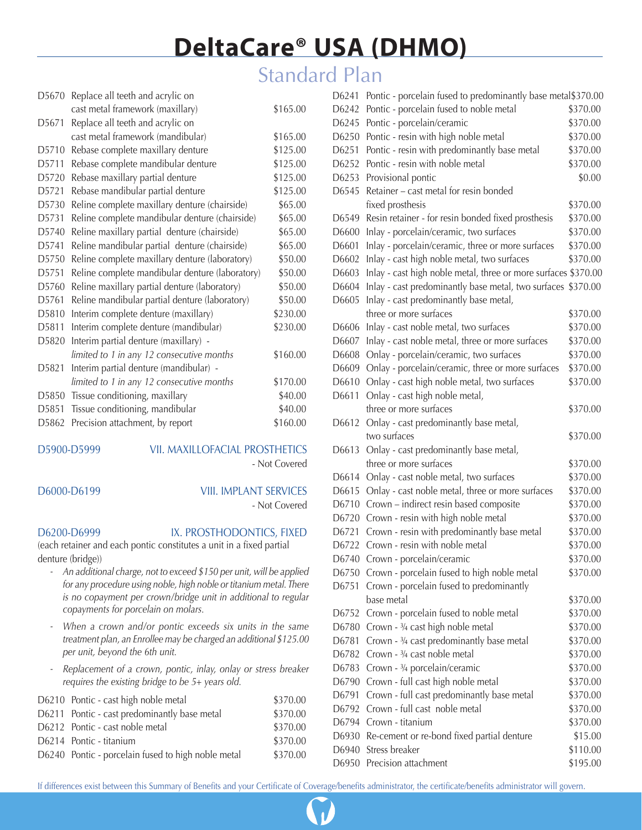## Standard Plan

| D5670              | Replace all teeth and acrylic on                |          |
|--------------------|-------------------------------------------------|----------|
|                    | cast metal framework (maxillary)                | \$165.00 |
| D5671              | Replace all teeth and acrylic on                |          |
|                    | cast metal framework (mandibular)               | \$165.00 |
| D5710              | Rebase complete maxillary denture               | \$125.00 |
| D5711              | Rebase complete mandibular denture              | \$125.00 |
| D5720              | Rebase maxillary partial denture                | \$125.00 |
| D <sub>5721</sub>  | Rebase mandibular partial denture               | \$125.00 |
| D5730              | Reline complete maxillary denture (chairside)   | \$65.00  |
| D5731              | Reline complete mandibular denture (chairside)  | \$65.00  |
| D5740              | Reline maxillary partial denture (chairside)    | \$65.00  |
| D5741              | Reline mandibular partial denture (chairside)   | \$65.00  |
| D5750              | Reline complete maxillary denture (laboratory)  | \$50.00  |
| D5751              | Reline complete mandibular denture (laboratory) | \$50.00  |
| D5760              | Reline maxillary partial denture (laboratory)   | \$50.00  |
| D5761              | Reline mandibular partial denture (laboratory)  | \$50.00  |
| D <sub>5810</sub>  | Interim complete denture (maxillary)            | \$230.00 |
| D <sub>5811</sub>  | Interim complete denture (mandibular)           | \$230.00 |
| D5820              | Interim partial denture (maxillary) -           |          |
|                    | limited to 1 in any 12 consecutive months       | \$160.00 |
| D <sub>5</sub> 821 | Interim partial denture (mandibular) -          |          |
|                    | limited to 1 in any 12 consecutive months       | \$170.00 |
| D <sub>5850</sub>  | Tissue conditioning, maxillary                  | \$40.00  |
| D5851              | Tissue conditioning, mandibular                 | \$40.00  |
| D <sub>5</sub> 862 | Precision attachment, by report                 | \$160.00 |
|                    |                                                 |          |

### D5900-D5999 VII. MAXILLOFACIAL PROSTHETICS

- Not Covered

## D6000-D6199 VIII. IMPLANT SERVICES

- Not Covered

D6200-D6999 IX. PROSTHODONTICS, FIXED

(each retainer and each pontic constitutes a unit in a fixed partial denture (bridge))

- *An additional charge, not to exceed \$150 per unit, will be applied for any procedure using noble, high noble or titanium metal. There is no copayment per crown/bridge unit in additional to regular copayments for porcelain on molars.*
- *When a crown and/or pontic exceeds six units in the same treatment plan, an Enrollee may be charged an additional \$125.00 per unit, beyond the 6th unit.*
- *Replacement of a crown, pontic, inlay, onlay or stress breaker requires the existing bridge to be 5+ years old.*

| D6210 Pontic - cast high noble metal               | \$370.00 |
|----------------------------------------------------|----------|
| D6211 Pontic - cast predominantly base metal       | \$370.00 |
| D6212 Pontic - cast noble metal                    | \$370.00 |
| D6214 Pontic - titanium                            | \$370.00 |
| D6240 Pontic - porcelain fused to high noble metal | \$370.00 |
|                                                    |          |

| D6241             | Pontic - porcelain fused to predominantly base metal\$370.00   |          |
|-------------------|----------------------------------------------------------------|----------|
| D6242             | Pontic - porcelain fused to noble metal                        | \$370.00 |
| D6245             | Pontic - porcelain/ceramic                                     | \$370.00 |
| D6250             | Pontic - resin with high noble metal                           | \$370.00 |
| D6251             | Pontic - resin with predominantly base metal                   | \$370.00 |
| D6252             | Pontic - resin with noble metal                                | \$370.00 |
| D6253             | Provisional pontic                                             | \$0.00   |
| D6545             | Retainer - cast metal for resin bonded                         |          |
|                   | fixed prosthesis                                               | \$370.00 |
| D6549             | Resin retainer - for resin bonded fixed prosthesis             | \$370.00 |
| D <sub>6600</sub> | Inlay - porcelain/ceramic, two surfaces                        | \$370.00 |
| D6601             | Inlay - porcelain/ceramic, three or more surfaces              | \$370.00 |
| D6602             | Inlay - cast high noble metal, two surfaces                    | \$370.00 |
| D6603             | Inlay - cast high noble metal, three or more surfaces \$370.00 |          |
| D6604             | Inlay - cast predominantly base metal, two surfaces \$370.00   |          |
| D6605             | Inlay - cast predominantly base metal,                         |          |
|                   | three or more surfaces                                         | \$370.00 |
| D6606             | Inlay - cast noble metal, two surfaces                         | \$370.00 |
| D6607             | Inlay - cast noble metal, three or more surfaces               | \$370.00 |
| D6608             | Onlay - porcelain/ceramic, two surfaces                        | \$370.00 |
| D6609             | Onlay - porcelain/ceramic, three or more surfaces              | \$370.00 |
| D6610             | Onlay - cast high noble metal, two surfaces                    | \$370.00 |
| D6611             | Onlay - cast high noble metal,                                 |          |
|                   | three or more surfaces                                         | \$370.00 |
| D6612             | Onlay - cast predominantly base metal,                         |          |
|                   | two surfaces                                                   | \$370.00 |
| D6613             | Onlay - cast predominantly base metal,                         |          |
|                   | three or more surfaces                                         | \$370.00 |
| D6614             | Onlay - cast noble metal, two surfaces                         | \$370.00 |
| D6615             | Onlay - cast noble metal, three or more surfaces               | \$370.00 |
| D6710             | Crown - indirect resin based composite                         | \$370.00 |
| D6720             | Crown - resin with high noble metal                            | \$370.00 |
| D6721             | Crown - resin with predominantly base metal                    | \$370.00 |
| D6722             | Crown - resin with noble metal                                 | \$370.00 |
| D6740             | Crown - porcelain/ceramic                                      | \$370.00 |
| D6750             | Crown - porcelain fused to high noble metal                    | \$370.00 |
| D6751             | Crown - porcelain fused to predominantly                       |          |
|                   | base metal                                                     | \$370.00 |
| D6752             | Crown - porcelain fused to noble metal                         | \$370.00 |
| D6780             | Crown - 3/4 cast high noble metal                              | \$370.00 |
| D6781             | Crown - 3/4 cast predominantly base metal                      | \$370.00 |
| D6782             | Crown - <sup>3</sup> /4 cast noble metal                       | \$370.00 |
| D6783             | Crown - 3/4 porcelain/ceramic                                  | \$370.00 |
| D6790             | Crown - full cast high noble metal                             | \$370.00 |
| D6791             | Crown - full cast predominantly base metal                     | \$370.00 |
| D6792             | Crown - full cast noble metal                                  | \$370.00 |
| D6794             | Crown - titanium                                               | \$370.00 |
| D6930             | Re-cement or re-bond fixed partial denture                     | \$15.00  |
| D6940             | Stress breaker                                                 | \$110.00 |
| D6950             | Precision attachment                                           | \$195.00 |

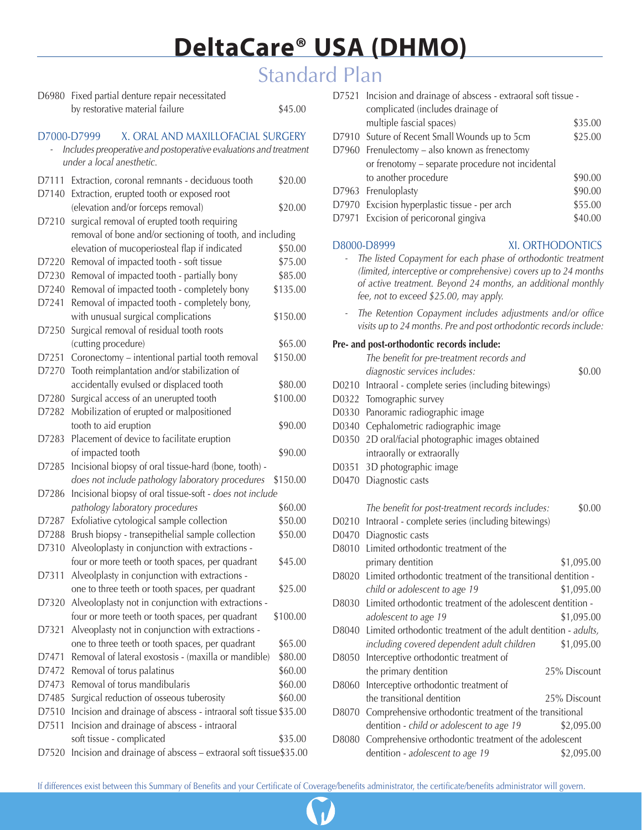# Standard Plan

| D6980                                            | Fixed partial denture repair necessitated                         |          |  |
|--------------------------------------------------|-------------------------------------------------------------------|----------|--|
|                                                  | by restorative material failure                                   | \$45.00  |  |
| X. ORAL AND MAXILLOFACIAL SURGERY<br>D7000-D7999 |                                                                   |          |  |
|                                                  | Includes preoperative and postoperative evaluations and treatment |          |  |
|                                                  | under a local anesthetic.                                         |          |  |
| D7111                                            | Extraction, coronal remnants - deciduous tooth                    | \$20.00  |  |
|                                                  | D7140 Extraction, erupted tooth or exposed root                   |          |  |
|                                                  | (elevation and/or forceps removal)                                | \$20.00  |  |
| D7210                                            | surgical removal of erupted tooth requiring                       |          |  |
|                                                  | removal of bone and/or sectioning of tooth, and including         |          |  |
|                                                  | elevation of mucoperiosteal flap if indicated                     | \$50.00  |  |
| D7220                                            | Removal of impacted tooth - soft tissue                           | \$75.00  |  |
| D7230                                            | Removal of impacted tooth - partially bony                        | \$85.00  |  |
| D7240                                            | Removal of impacted tooth - completely bony                       | \$135.00 |  |
| D7241                                            | Removal of impacted tooth - completely bony,                      |          |  |
|                                                  | with unusual surgical complications                               | \$150.00 |  |
| D7250                                            | Surgical removal of residual tooth roots                          |          |  |
|                                                  | (cutting procedure)                                               | \$65.00  |  |
| D7251                                            | Coronectomy - intentional partial tooth removal                   | \$150.00 |  |
| D7270                                            | Tooth reimplantation and/or stabilization of                      |          |  |
|                                                  | accidentally evulsed or displaced tooth                           | \$80.00  |  |
| D7280                                            | Surgical access of an unerupted tooth                             | \$100.00 |  |
| D7282                                            | Mobilization of erupted or malpositioned                          |          |  |
|                                                  | tooth to aid eruption                                             | \$90.00  |  |
| D7283                                            | Placement of device to facilitate eruption                        |          |  |
|                                                  | of impacted tooth                                                 | \$90.00  |  |
| D7285                                            | Incisional biopsy of oral tissue-hard (bone, tooth) -             |          |  |
|                                                  | does not include pathology laboratory procedures                  | \$150.00 |  |
| D7286                                            | Incisional biopsy of oral tissue-soft - does not include          |          |  |
|                                                  | pathology laboratory procedures                                   | \$60.00  |  |
| D7287                                            | Exfoliative cytological sample collection                         | \$50.00  |  |
| D7288                                            | Brush biopsy - transepithelial sample collection                  | \$50.00  |  |
| D7310                                            | Alveoloplasty in conjunction with extractions -                   |          |  |
|                                                  | four or more teeth or tooth spaces, per quadrant                  | \$45.00  |  |
| D7311                                            | Alveolplasty in conjunction with extractions -                    |          |  |
|                                                  | one to three teeth or tooth spaces, per quadrant                  | \$25.00  |  |
| D7320                                            | Alveoloplasty not in conjunction with extractions -               |          |  |
|                                                  | four or more teeth or tooth spaces, per quadrant                  | \$100.00 |  |
| D7321                                            | Alveoplasty not in conjunction with extractions -                 |          |  |
|                                                  | one to three teeth or tooth spaces, per quadrant                  | \$65.00  |  |
| D7471                                            | Removal of lateral exostosis - (maxilla or mandible)              | \$80.00  |  |
| D7472                                            | Removal of torus palatinus                                        | \$60.00  |  |
| D7473                                            | Removal of torus mandibularis                                     | \$60.00  |  |
| D7485                                            | Surgical reduction of osseous tuberosity                          | \$60.00  |  |
| D7510                                            | Incision and drainage of abscess - intraoral soft tissue \$35.00  |          |  |
| D7511                                            | Incision and drainage of abscess - intraoral                      |          |  |
|                                                  | soft tissue - complicated                                         | \$35.00  |  |
| D7520                                            | Incision and drainage of abscess - extraoral soft tissue\$35.00   |          |  |

|                                                                                                                                                                                                                                           | D7521 Incision and drainage of abscess - extraoral soft tissue - |         |
|-------------------------------------------------------------------------------------------------------------------------------------------------------------------------------------------------------------------------------------------|------------------------------------------------------------------|---------|
|                                                                                                                                                                                                                                           | complicated (includes drainage of                                |         |
|                                                                                                                                                                                                                                           | multiple fascial spaces)                                         | \$35.00 |
|                                                                                                                                                                                                                                           | D7910 Suture of Recent Small Wounds up to 5cm                    | \$25.00 |
|                                                                                                                                                                                                                                           | D7960 Frenulectomy – also known as frenectomy                    |         |
|                                                                                                                                                                                                                                           | or frenotomy - separate procedure not incidental                 |         |
|                                                                                                                                                                                                                                           | to another procedure                                             | \$90.00 |
| D7963                                                                                                                                                                                                                                     | Frenuloplasty                                                    | \$90.00 |
|                                                                                                                                                                                                                                           | D7970 Excision hyperplastic tissue - per arch                    | \$55.00 |
| D7971                                                                                                                                                                                                                                     | Excision of pericoronal gingiva                                  | \$40.00 |
|                                                                                                                                                                                                                                           | XI. ORTHODONTICS<br>D8000-D8999                                  |         |
| The listed Copayment for each phase of orthodontic treatment<br>(limited, interceptive or comprehensive) covers up to 24 months<br>of active treatment. Beyond 24 months, an additional monthly<br>fee, not to exceed \$25.00, may apply. |                                                                  |         |
|                                                                                                                                                                                                                                           | The Retention Copayment includes adjustments and/or office       |         |

*visits up to 24 months. Pre and post orthodontic records include:*

#### **Pre- and post-orthodontic records include:**

|       | The benefit for pre-treatment records and                      |              |
|-------|----------------------------------------------------------------|--------------|
|       | diagnostic services includes:                                  | \$0.00       |
|       | D0210 Intraoral - complete series (including bitewings)        |              |
| D0322 | Tomographic survey                                             |              |
|       | D0330 Panoramic radiographic image                             |              |
| D0340 | Cephalometric radiographic image                               |              |
| D0350 | 2D oral/facial photographic images obtained                    |              |
|       | intraorally or extraorally                                     |              |
| D0351 | 3D photographic image                                          |              |
| D0470 | Diagnostic casts                                               |              |
|       |                                                                |              |
|       | The benefit for post-treatment records includes:               | \$0.00       |
| D0210 | Intraoral - complete series (including bitewings)              |              |
| D0470 | Diagnostic casts                                               |              |
| D8010 | Limited orthodontic treatment of the                           |              |
|       | primary dentition                                              | \$1,095.00   |
| D8020 | Limited orthodontic treatment of the transitional dentition -  |              |
|       | child or adolescent to age 19                                  | \$1,095.00   |
| D8030 | Limited orthodontic treatment of the adolescent dentition -    |              |
|       | adolescent to age 19                                           | \$1,095.00   |
| D8040 | Limited orthodontic treatment of the adult dentition - adults, |              |
|       | including covered dependent adult children                     | \$1,095.00   |
| D8050 | Interceptive orthodontic treatment of                          |              |
|       | the primary dentition                                          | 25% Discount |
| D8060 | Interceptive orthodontic treatment of                          |              |
|       | the transitional dentition                                     | 25% Discount |
| D8070 | Comprehensive orthodontic treatment of the transitional        |              |
|       | dentition - child or adolescent to age 19                      | \$2,095.00   |
| D8080 | Comprehensive orthodontic treatment of the adolescent          |              |
|       | dentition - adolescent to age 19                               | \$2,095.00   |